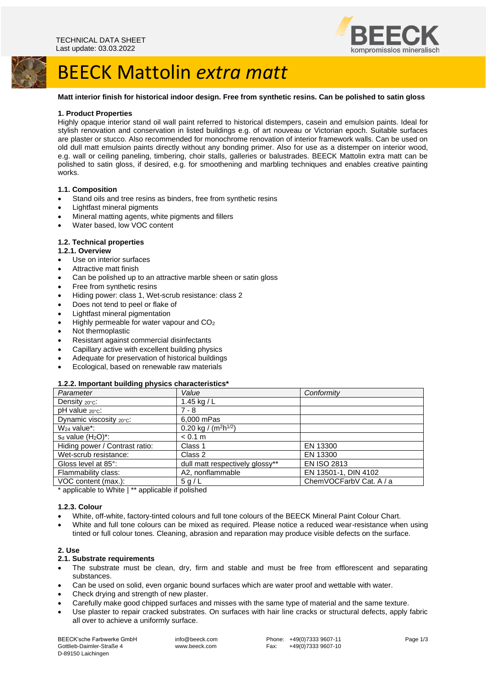



# BEECK Mattolin *extra matt*

### **Matt interior finish for historical indoor design. Free from synthetic resins. Can be polished to satin gloss**

### **1. Product Properties**

Highly opaque interior stand oil wall paint referred to historical distempers, casein and emulsion paints. Ideal for stylish renovation and conservation in listed buildings e.g. of art nouveau or Victorian epoch. Suitable surfaces are plaster or stucco. Also recommended for monochrome renovation of interior framework walls. Can be used on old dull matt emulsion paints directly without any bonding primer. Also for use as a distemper on interior wood, e.g. wall or ceiling paneling, timbering, choir stalls, galleries or balustrades. BEECK Mattolin extra matt can be polished to satin gloss, if desired, e.g. for smoothening and marbling techniques and enables creative painting works.

#### **1.1. Composition**

- Stand oils and tree resins as binders, free from synthetic resins
- Lightfast mineral pigments
- Mineral matting agents, white pigments and fillers
- Water based, low VOC content

# **1.2. Technical properties**

#### **1.2.1. Overview**

- Use on interior surfaces
- Attractive matt finish
- Can be polished up to an attractive marble sheen or satin gloss
- Free from synthetic resins
- Hiding power: class 1, Wet-scrub resistance: class 2
- Does not tend to peel or flake of
- Lightfast mineral pigmentation
- Highly permeable for water vapour and CO<sup>2</sup>
- Not thermoplastic
- Resistant against commercial disinfectants
- Capillary active with excellent building physics
- Adequate for preservation of historical buildings
- Ecological, based on renewable raw materials

# **1.2.2. Important building physics characteristics\***

| Parameter                      | Value                                        | Conformity              |
|--------------------------------|----------------------------------------------|-------------------------|
| Density 20°C:                  | 1.45 kg / L                                  |                         |
| $pH$ value $20^{\circ}$ c:     | $7 - 8$                                      |                         |
| Dynamic viscosity 20°C:        | 6,000 mPas                                   |                         |
| W <sub>24</sub> value*:        | 0.20 kg / (m <sup>2</sup> h <sup>1/2</sup> ) |                         |
| $s_d$ value $(H_2O)^*$ :       | < 0.1 m                                      |                         |
| Hiding power / Contrast ratio: | Class 1                                      | EN 13300                |
| Wet-scrub resistance:          | Class 2                                      | EN 13300                |
| Gloss level at 85°:            | dull matt respectively glossy**              | <b>EN ISO 2813</b>      |
| Flammability class:            | A2. nonflammable                             | EN 13501-1, DIN 4102    |
| VOC content (max.):            | 5 g/L                                        | ChemVOCFarbV Cat. A / a |

\* applicable to White | \*\* applicable if polished

#### **1.2.3. Colour**

- White, off-white, factory-tinted colours and full tone colours of the BEECK Mineral Paint Colour Chart.
- White and full tone colours can be mixed as required. Please notice a reduced wear-resistance when using tinted or full colour tones. Cleaning, abrasion and reparation may produce visible defects on the surface.

# **2. Use**

#### **2.1. Substrate requirements**

- The substrate must be clean, dry, firm and stable and must be free from efflorescent and separating substances.
- Can be used on solid, even organic bound surfaces which are water proof and wettable with water.
- Check drying and strength of new plaster.
- Carefully make good chipped surfaces and misses with the same type of material and the same texture.
- Use plaster to repair cracked substrates. On surfaces with hair line cracks or structural defects, apply fabric all over to achieve a uniformly surface.

BEECK'sche Farbwerke GmbH Gottlieb-Daimler-Straße 4 D-89150 Laichingen

info@beeck.com www.beeck.com

Phone: +49(0)7333 9607-11 Fax: +49(0)7333 9607-10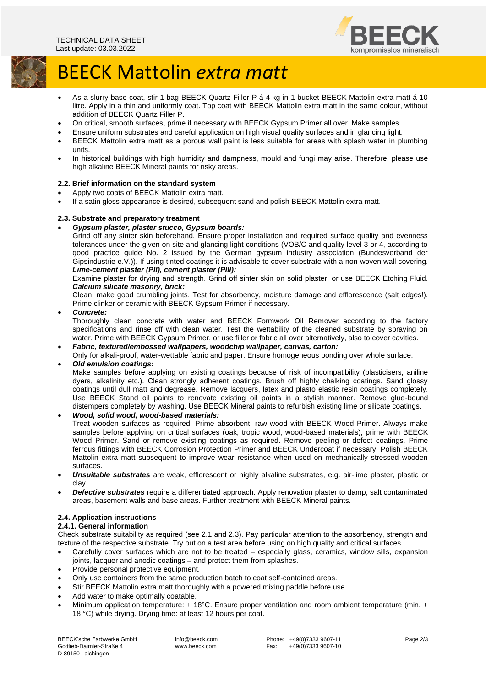

# BEECK Mattolin *extra matt*

- As a slurry base coat, stir 1 bag BEECK Quartz Filler P á 4 kg in 1 bucket BEECK Mattolin extra matt á 10 litre. Apply in a thin and uniformly coat. Top coat with BEECK Mattolin extra matt in the same colour, without addition of BEECK Quartz Filler P.
- On critical, smooth surfaces, prime if necessary with BEECK Gypsum Primer all over. Make samples.
- Ensure uniform substrates and careful application on high visual quality surfaces and in glancing light.
- BEECK Mattolin extra matt as a porous wall paint is less suitable for areas with splash water in plumbing units.
- In historical buildings with high humidity and dampness, mould and fungi may arise. Therefore, please use high alkaline BEECK Mineral paints for risky areas.

# **2.2. Brief information on the standard system**

- Apply two coats of BEECK Mattolin extra matt.
- If a satin gloss appearance is desired, subsequent sand and polish BEECK Mattolin extra matt.

#### **2.3. Substrate and preparatory treatment**

# • *Gypsum plaster, plaster stucco, Gypsum boards:*

Grind off any sinter skin beforehand. Ensure proper installation and required surface quality and evenness tolerances under the given on site and glancing light conditions (VOB/C and quality level 3 or 4, according to good practice guide No. 2 issued by the German gypsum industry association (Bundesverband der Gipsindustrie e.V.)). If using tinted coatings it is advisable to cover substrate with a non-woven wall covering. *Lime-cement plaster (PII), cement plaster (PIII):*

Examine plaster for drying and strength. Grind off sinter skin on solid plaster, or use BEECK Etching Fluid. *Calcium silicate masonry, brick:*

Clean, make good crumbling joints. Test for absorbency, moisture damage and efflorescence (salt edges!). Prime clinker or ceramic with BEECK Gypsum Primer if necessary.

• *Concrete:*

Thoroughly clean concrete with water and BEECK Formwork Oil Remover according to the factory specifications and rinse off with clean water. Test the wettability of the cleaned substrate by spraying on water. Prime with BEECK Gypsum Primer, or use filler or fabric all over alternatively, also to cover cavities.

- *Fabric, textured/embossed wallpapers, woodchip wallpaper, canvas, carton:*
- Only for alkali-proof, water-wettable fabric and paper. Ensure homogeneous bonding over whole surface. • *Old emulsion coatings:*

Make samples before applying on existing coatings because of risk of incompatibility (plasticisers, aniline dyers, alkalinity etc.). Clean strongly adherent coatings. Brush off highly chalking coatings. Sand glossy coatings until dull matt and degrease. Remove lacquers, latex and plasto elastic resin coatings completely. Use BEECK Stand oil paints to renovate existing oil paints in a stylish manner. Remove glue-bound distempers completely by washing. Use BEECK Mineral paints to refurbish existing lime or silicate coatings.

• *Wood, solid wood, wood-based materials:* Treat wooden surfaces as required. Prime absorbent, raw wood with BEECK Wood Primer. Always make samples before applying on critical surfaces (oak, tropic wood, wood-based materials), prime with BEECK Wood Primer. Sand or remove existing coatings as required. Remove peeling or defect coatings. Prime ferrous fittings with BEECK Corrosion Protection Primer and BEECK Undercoat if necessary. Polish BEECK Mattolin extra matt subsequent to improve wear resistance when used on mechanically stressed wooden surfaces.

- *Unsuitable substrates* are weak, efflorescent or highly alkaline substrates, e.g. air-lime plaster, plastic or clay.
- *Defective substrates* require a differentiated approach. Apply renovation plaster to damp, salt contaminated areas, basement walls and base areas. Further treatment with BEECK Mineral paints.

# **2.4. Application instructions**

#### **2.4.1. General information**

Check substrate suitability as required (see 2.1 and 2.3). Pay particular attention to the absorbency, strength and texture of the respective substrate. Try out on a test area before using on high quality and critical surfaces.

- Carefully cover surfaces which are not to be treated especially glass, ceramics, window sills, expansion joints, lacquer and anodic coatings – and protect them from splashes.
- Provide personal protective equipment.
- Only use containers from the same production batch to coat self-contained areas.
- Stir BEECK Mattolin extra matt thoroughly with a powered mixing paddle before use.
- Add water to make optimally coatable.
- Minimum application temperature: + 18°C. Ensure proper ventilation and room ambient temperature (min. + 18 °C) while drying. Drying time: at least 12 hours per coat.

BEECK'sche Farbwerke GmbH Gottlieb-Daimler-Straße 4 D-89150 Laichingen

info@beeck.com www.beeck.com